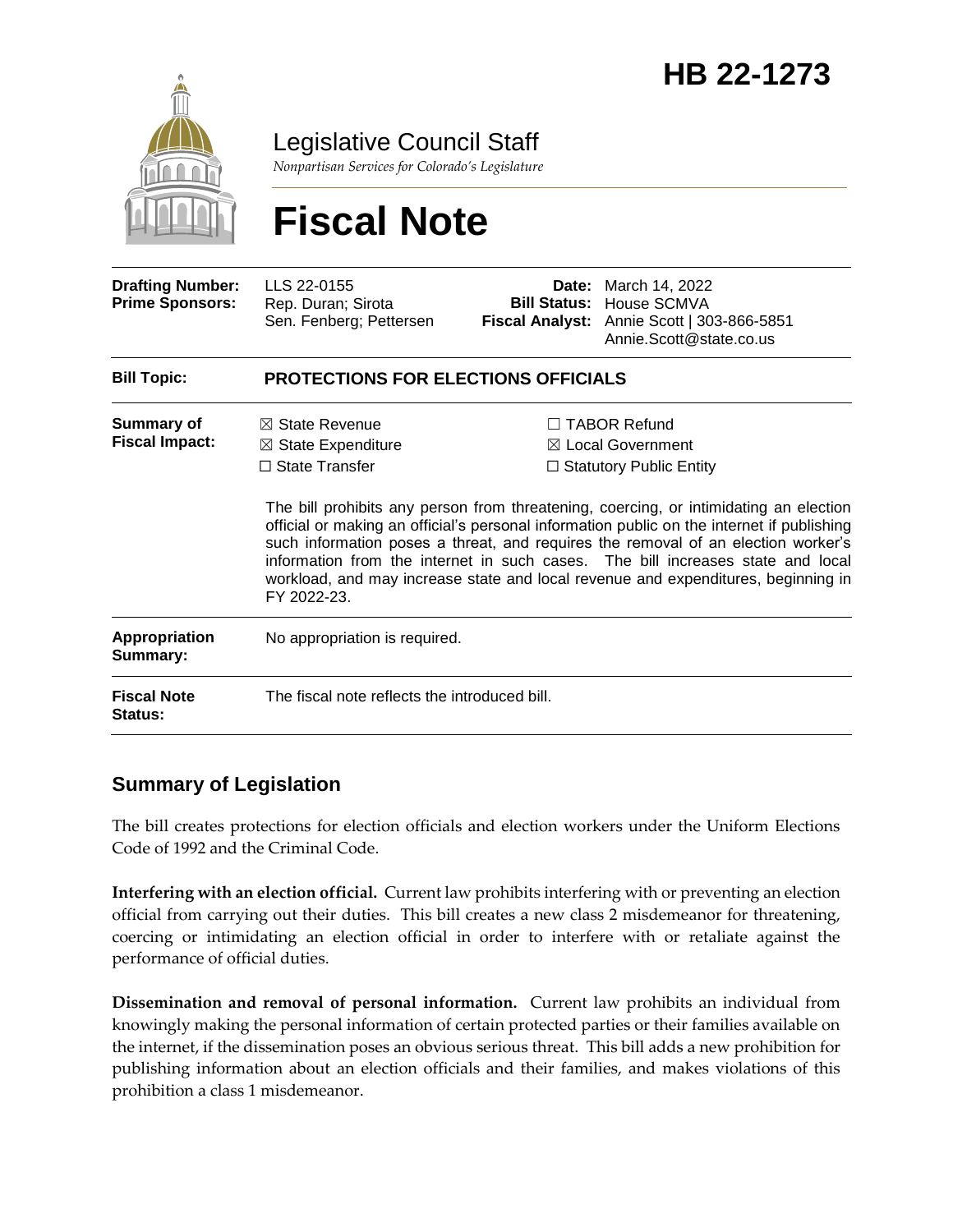

Legislative Council Staff

*Nonpartisan Services for Colorado's Legislature*

# **Fiscal Note**

| <b>Drafting Number:</b><br><b>Prime Sponsors:</b> | LLS 22-0155<br>Rep. Duran; Sirota<br>Sen. Fenberg; Pettersen                                       | <b>Bill Status:</b><br><b>Fiscal Analyst:</b>                                                                                                                                                                                                                                                                                                                                                                                                                                                                                             | <b>Date:</b> March 14, 2022<br>House SCMVA<br>Annie Scott   303-866-5851<br>Annie.Scott@state.co.us |
|---------------------------------------------------|----------------------------------------------------------------------------------------------------|-------------------------------------------------------------------------------------------------------------------------------------------------------------------------------------------------------------------------------------------------------------------------------------------------------------------------------------------------------------------------------------------------------------------------------------------------------------------------------------------------------------------------------------------|-----------------------------------------------------------------------------------------------------|
| <b>Bill Topic:</b>                                | <b>PROTECTIONS FOR ELECTIONS OFFICIALS</b>                                                         |                                                                                                                                                                                                                                                                                                                                                                                                                                                                                                                                           |                                                                                                     |
| Summary of<br><b>Fiscal Impact:</b>               | $\boxtimes$ State Revenue<br>$\boxtimes$ State Expenditure<br>$\Box$ State Transfer<br>FY 2022-23. | <b>TABOR Refund</b><br>$\boxtimes$ Local Government<br>$\Box$ Statutory Public Entity<br>The bill prohibits any person from threatening, coercing, or intimidating an election<br>official or making an official's personal information public on the internet if publishing<br>such information poses a threat, and requires the removal of an election worker's<br>information from the internet in such cases. The bill increases state and local<br>workload, and may increase state and local revenue and expenditures, beginning in |                                                                                                     |
| Appropriation<br>Summary:                         | No appropriation is required.                                                                      |                                                                                                                                                                                                                                                                                                                                                                                                                                                                                                                                           |                                                                                                     |
| <b>Fiscal Note</b><br>Status:                     | The fiscal note reflects the introduced bill.                                                      |                                                                                                                                                                                                                                                                                                                                                                                                                                                                                                                                           |                                                                                                     |

# **Summary of Legislation**

The bill creates protections for election officials and election workers under the Uniform Elections Code of 1992 and the Criminal Code.

**Interfering with an election official.** Current law prohibits interfering with or preventing an election official from carrying out their duties. This bill creates a new class 2 misdemeanor for threatening, coercing or intimidating an election official in order to interfere with or retaliate against the performance of official duties.

**Dissemination and removal of personal information.** Current law prohibits an individual from knowingly making the personal information of certain protected parties or their families available on the internet, if the dissemination poses an obvious serious threat. This bill adds a new prohibition for publishing information about an election officials and their families, and makes violations of this prohibition a class 1 misdemeanor.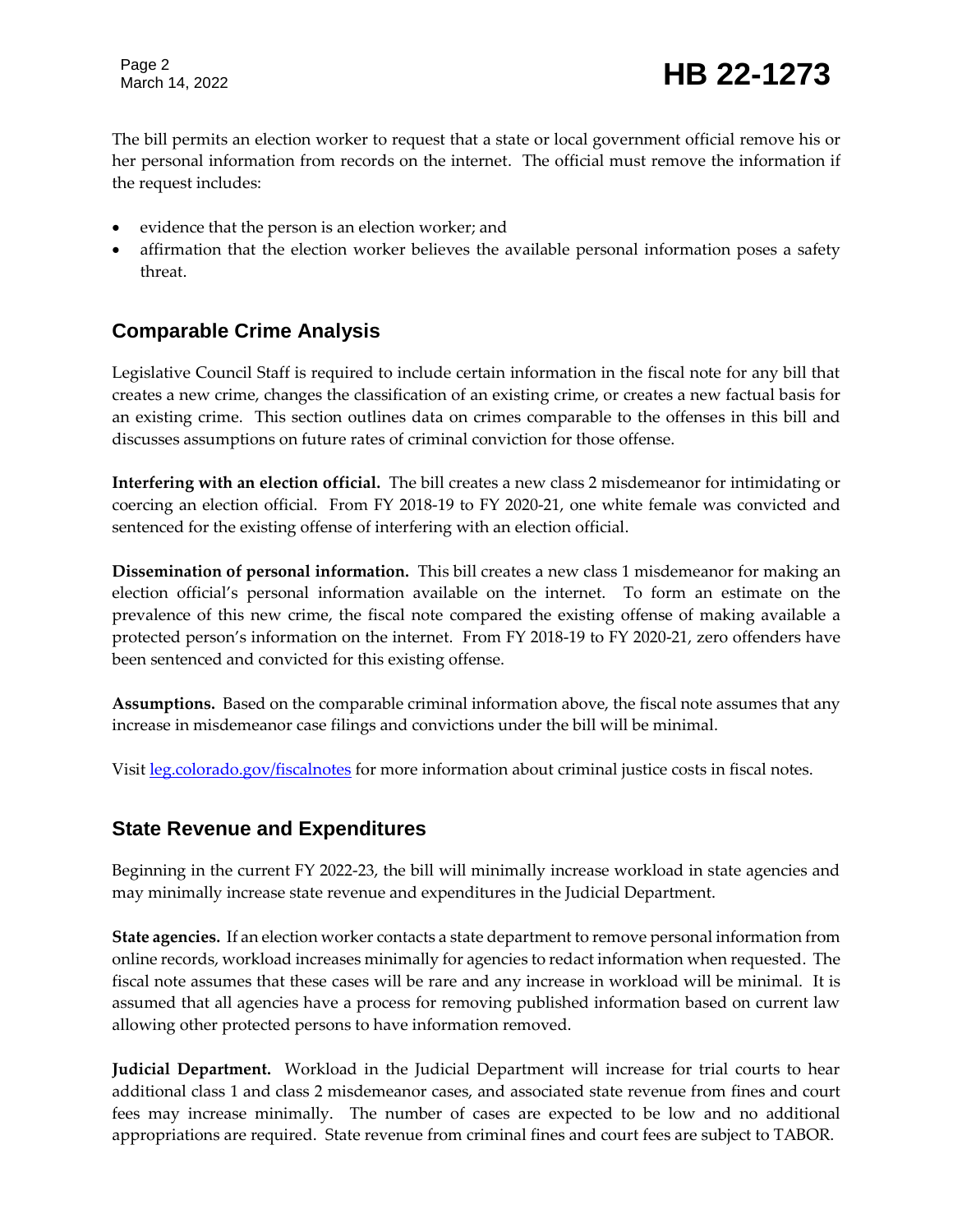Page 2

# Page 2<br>March 14, 2022 **HB 22-1273**

The bill permits an election worker to request that a state or local government official remove his or her personal information from records on the internet. The official must remove the information if the request includes:

- evidence that the person is an election worker; and
- affirmation that the election worker believes the available personal information poses a safety threat.

#### **Comparable Crime Analysis**

Legislative Council Staff is required to include certain information in the fiscal note for any bill that creates a new crime, changes the classification of an existing crime, or creates a new factual basis for an existing crime. This section outlines data on crimes comparable to the offenses in this bill and discusses assumptions on future rates of criminal conviction for those offense.

**Interfering with an election official.** The bill creates a new class 2 misdemeanor for intimidating or coercing an election official. From FY 2018-19 to FY 2020-21, one white female was convicted and sentenced for the existing offense of interfering with an election official.

**Dissemination of personal information.** This bill creates a new class 1 misdemeanor for making an election official's personal information available on the internet. To form an estimate on the prevalence of this new crime, the fiscal note compared the existing offense of making available a protected person's information on the internet. From FY 2018-19 to FY 2020-21, zero offenders have been sentenced and convicted for this existing offense.

**Assumptions.** Based on the comparable criminal information above, the fiscal note assumes that any increase in misdemeanor case filings and convictions under the bill will be minimal.

Visit [leg.colorado.gov/fiscalnotes](http://leg.colorado.gov/fiscalnotes/) for more information about criminal justice costs in fiscal notes.

#### **State Revenue and Expenditures**

Beginning in the current FY 2022-23, the bill will minimally increase workload in state agencies and may minimally increase state revenue and expenditures in the Judicial Department.

**State agencies.** If an election worker contacts a state department to remove personal information from online records, workload increases minimally for agencies to redact information when requested. The fiscal note assumes that these cases will be rare and any increase in workload will be minimal. It is assumed that all agencies have a process for removing published information based on current law allowing other protected persons to have information removed.

**Judicial Department.** Workload in the Judicial Department will increase for trial courts to hear additional class 1 and class 2 misdemeanor cases, and associated state revenue from fines and court fees may increase minimally. The number of cases are expected to be low and no additional appropriations are required. State revenue from criminal fines and court fees are subject to TABOR.